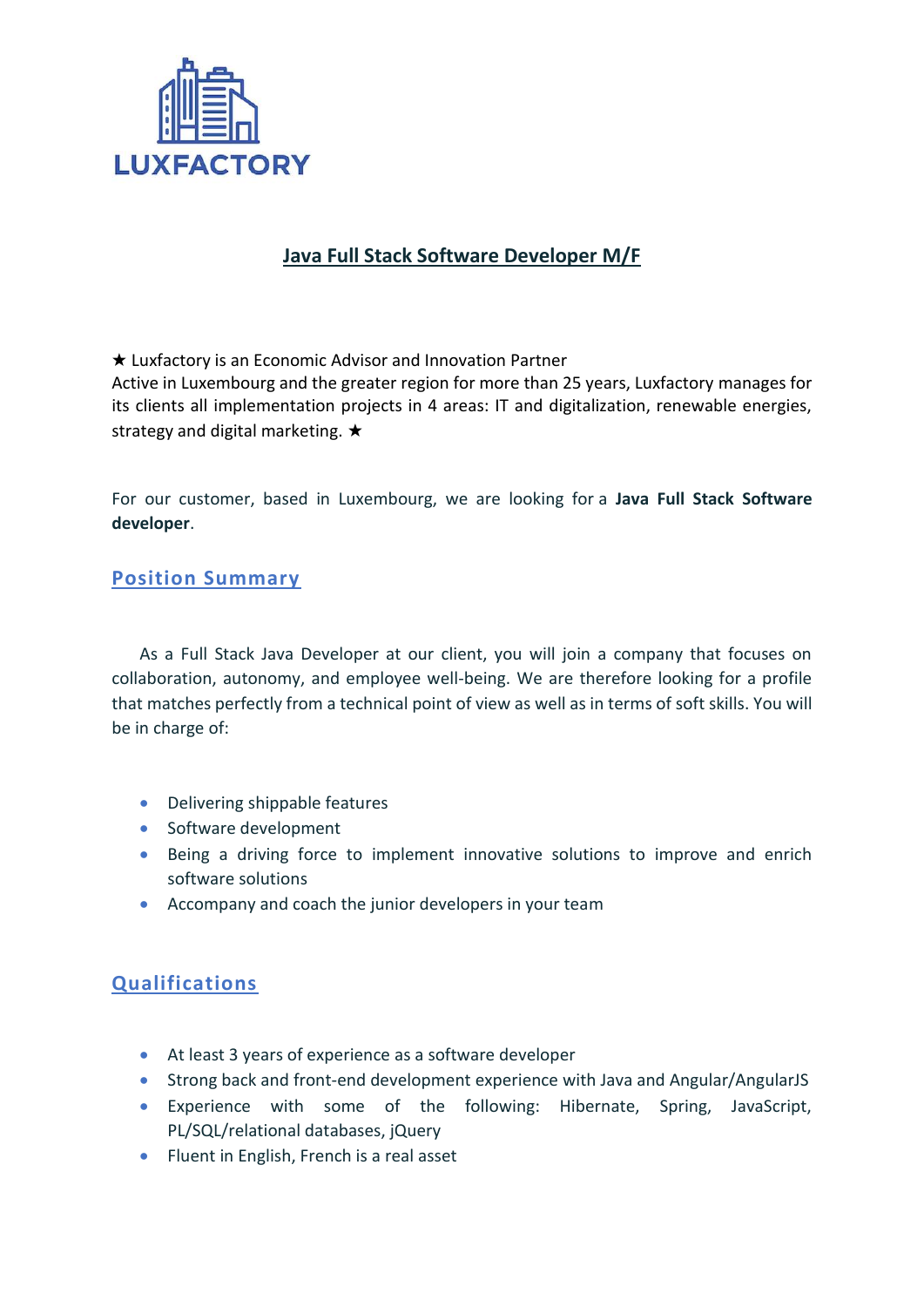

## **Java Full Stack Software Developer M/F**

★ Luxfactory is an Economic Advisor and Innovation Partner

Active in Luxembourg and the greater region for more than 25 years, Luxfactory manages for its clients all implementation projects in 4 areas: IT and digitalization, renewable energies, strategy and digital marketing. ★

For our customer, based in Luxembourg, we are looking for a **Java Full Stack Software developer**.

## **Position Summary**

As a Full Stack Java Developer at our client, you will join a company that focuses on collaboration, autonomy, and employee well-being. We are therefore looking for a profile that matches perfectly from a technical point of view as well as in terms of soft skills. You will be in charge of:

- Delivering shippable features
- Software development
- Being a driving force to implement innovative solutions to improve and enrich software solutions
- Accompany and coach the junior developers in your team

## **Qualifications**

- At least 3 years of experience as a software developer
- Strong back and front-end development experience with Java and Angular/AngularJS
- Experience with some of the following: Hibernate, Spring, JavaScript, PL/SQL/relational databases, jQuery
- Fluent in English, French is a real asset